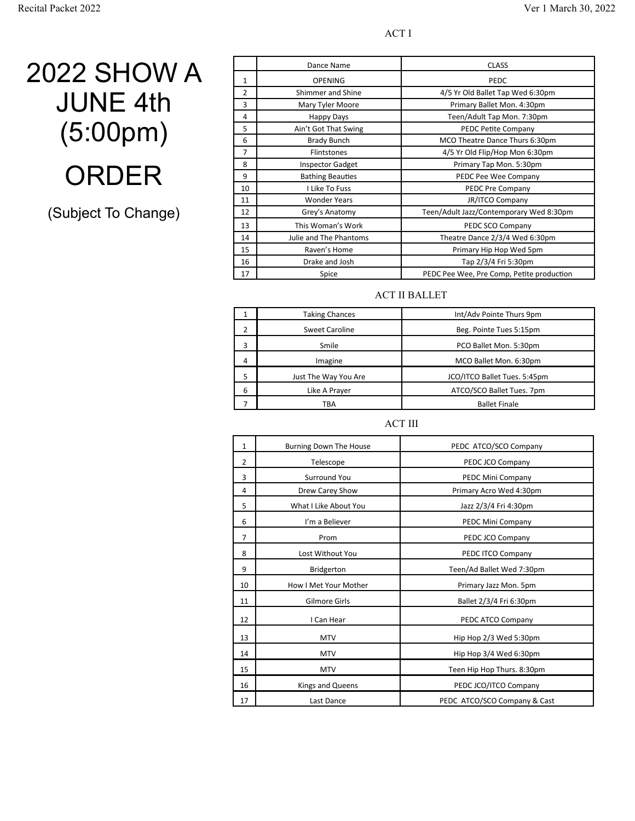ACT I

### 2022 SHOW A JUNE 4th (5:00pm) ORDER

(Subject To Change)

|                | Dance Name              | <b>CLASS</b>                              |
|----------------|-------------------------|-------------------------------------------|
| 1              | <b>OPENING</b>          | PEDC                                      |
| $\overline{2}$ | Shimmer and Shine       | 4/5 Yr Old Ballet Tap Wed 6:30pm          |
| 3              | Mary Tyler Moore        | Primary Ballet Mon. 4:30pm                |
| 4              | Happy Days              | Teen/Adult Tap Mon. 7:30pm                |
| 5              | Ain't Got That Swing    | PEDC Petite Company                       |
| 6              | <b>Brady Bunch</b>      | MCO Theatre Dance Thurs 6:30pm            |
| $\overline{7}$ | <b>Flintstones</b>      | 4/5 Yr Old Flip/Hop Mon 6:30pm            |
| 8              | <b>Inspector Gadget</b> | Primary Tap Mon. 5:30pm                   |
| 9              | <b>Bathing Beauties</b> | PEDC Pee Wee Company                      |
| 10             | I Like To Fuss          | PEDC Pre Company                          |
| 11             | <b>Wonder Years</b>     | <b>JR/ITCO Company</b>                    |
| 12             | Grey's Anatomy          | Teen/Adult Jazz/Contemporary Wed 8:30pm   |
| 13             | This Woman's Work       | PEDC SCO Company                          |
| 14             | Julie and The Phantoms  | Theatre Dance 2/3/4 Wed 6:30pm            |
| 15             | Raven's Home            | Primary Hip Hop Wed 5pm                   |
| 16             | Drake and Josh          | Tap 2/3/4 Fri 5:30pm                      |
| 17             | Spice                   | PEDC Pee Wee, Pre Comp, Petite production |

#### ACT II BALLET

|   | <b>Taking Chances</b> | Int/Adv Pointe Thurs 9pm     |
|---|-----------------------|------------------------------|
|   | <b>Sweet Caroline</b> | Beg. Pointe Tues 5:15pm      |
| 3 | Smile                 | PCO Ballet Mon. 5:30pm       |
| 4 | Imagine               | MCO Ballet Mon. 6:30pm       |
|   | Just The Way You Are  | JCO/ITCO Ballet Tues. 5:45pm |
| 6 | Like A Prayer         | ATCO/SCO Ballet Tues. 7pm    |
|   | TBA                   | <b>Ballet Finale</b>         |

#### ACT III

| $\mathbf{1}$   | Burning Down The House | PEDC ATCO/SCO Company        |
|----------------|------------------------|------------------------------|
| $\overline{2}$ | Telescope              | PEDC JCO Company             |
| 3              | Surround You           | PEDC Mini Company            |
| 4              | Drew Carey Show        | Primary Acro Wed 4:30pm      |
| 5              | What I Like About You  | Jazz 2/3/4 Fri 4:30pm        |
| 6              | I'm a Believer         | PEDC Mini Company            |
| $\overline{7}$ | Prom                   | PEDC JCO Company             |
| 8              | Lost Without You       | PEDC ITCO Company            |
| 9              | Bridgerton             | Teen/Ad Ballet Wed 7:30pm    |
| 10             | How I Met Your Mother  | Primary Jazz Mon. 5pm        |
| 11             | Gilmore Girls          | Ballet 2/3/4 Fri 6:30pm      |
| 12             | I Can Hear             | PEDC ATCO Company            |
| 13             | <b>MTV</b>             | Hip Hop 2/3 Wed 5:30pm       |
| 14             | <b>MTV</b>             | Hip Hop 3/4 Wed 6:30pm       |
| 15             | <b>MTV</b>             | Teen Hip Hop Thurs. 8:30pm   |
| 16             | Kings and Queens       | PEDC JCO/ITCO Company        |
| 17             | Last Dance             | PEDC ATCO/SCO Company & Cast |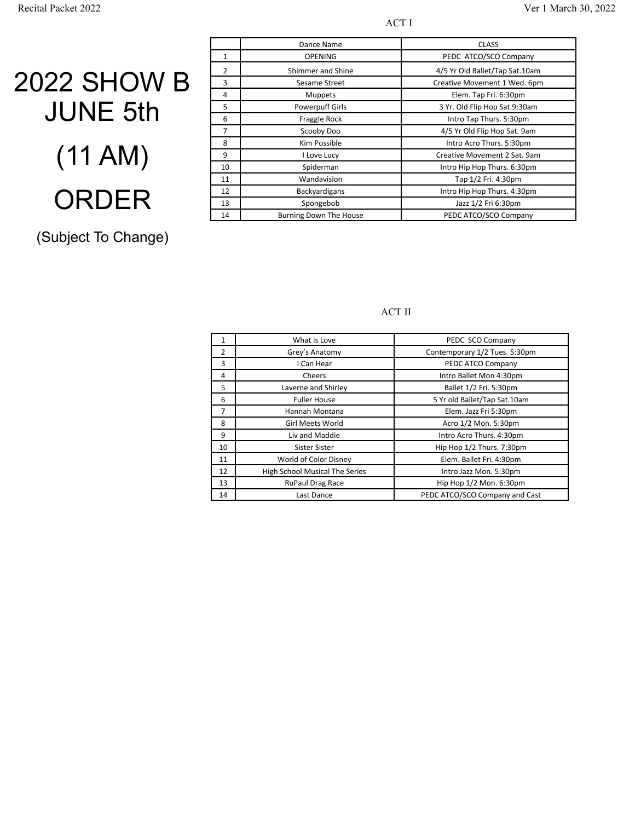#### ACT I

# 2022 SHOW B JUNE 5th (11 AM) ORDER

### (Subject To Change)

|                   | Dance Name                    | <b>CLASS</b>                   |
|-------------------|-------------------------------|--------------------------------|
| 1                 | <b>OPENING</b>                | PEDC ATCO/SCO Company          |
| 2                 | Shimmer and Shine             | 4/5 Yr Old Ballet/Tap Sat.10am |
| 3                 | Sesame Street                 | Creative Movement 1 Wed. 6pm   |
| 4                 | <b>Muppets</b>                | Elem. Tap Fri. 6:30pm          |
| 5                 | <b>Powerpuff Girls</b>        | 3 Yr. Old Flip Hop Sat.9:30am  |
| 6                 | Fraggle Rock                  | Intro Tap Thurs. 5:30pm        |
| 7                 | Scooby Doo                    | 4/5 Yr Old Flip Hop Sat. 9am   |
| 8                 | Kim Possible                  | Intro Acro Thurs. 5:30pm       |
| 9                 | I Love Lucy                   | Creative Movement 2 Sat. 9am   |
| 10                | Spiderman                     | Intro Hip Hop Thurs. 6:30pm    |
| 11                | Wandavision                   | Tap 1/2 Fri. 4:30pm            |
| $12 \overline{ }$ | Backyardigans                 | Intro Hip Hop Thurs. 4:30pm    |
| 13                | Spongebob                     | Jazz 1/2 Fri 6:30pm            |
| 14                | <b>Burning Down The House</b> | PEDC ATCO/SCO Company          |

#### ACT II

|                | What is Love                   | PEDC SCO Company               |
|----------------|--------------------------------|--------------------------------|
| 2              | Grey's Anatomy                 | Contemporary 1/2 Tues. 5:30pm  |
| 3              | I Can Hear                     | PEDC ATCO Company              |
| 4              | Cheers                         | Intro Ballet Mon 4:30pm        |
| 5              | Laverne and Shirley            | Ballet 1/2 Fri. 5:30pm         |
| 6              | <b>Fuller House</b>            | 5 Yr old Ballet/Tap Sat.10am   |
| $\overline{7}$ | Hannah Montana                 | Elem. Jazz Fri 5:30pm          |
| 8              | Girl Meets World               | Acro 1/2 Mon. 5:30pm           |
| 9              | Liv and Maddie                 | Intro Acro Thurs. 4:30pm       |
| 10             | Sister Sister                  | Hip Hop 1/2 Thurs. 7:30pm      |
| 11             | World of Color Disney          | Elem. Ballet Fri. 4:30pm       |
| 12             | High School Musical The Series | Intro Jazz Mon. 5:30pm         |
| 13             | RuPaul Drag Race               | Hip Hop 1/2 Mon. 6:30pm        |
| 14             | Last Dance                     | PEDC ATCO/SCO Company and Cast |